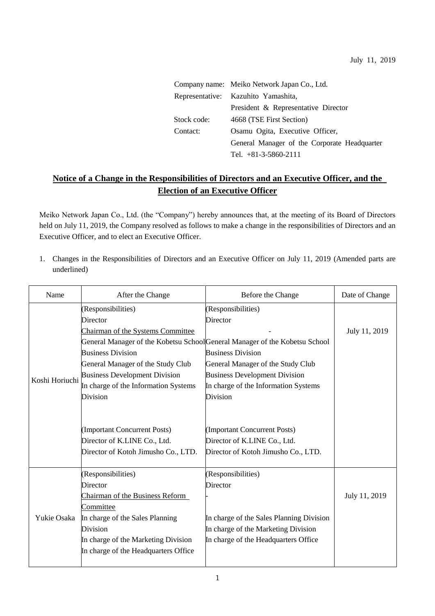|             | Company name: Meiko Network Japan Co., Ltd.  |  |
|-------------|----------------------------------------------|--|
|             | Representative: Kazuhito Yamashita,          |  |
|             | President & Representative Director          |  |
| Stock code: | 4668 (TSE First Section)                     |  |
| Contact:    | Osamu Ogita, Executive Officer,              |  |
|             | General Manager of the Corporate Headquarter |  |
|             | Tel. $+81-3-5860-2111$                       |  |

## **Notice of a Change in the Responsibilities of Directors and an Executive Officer, and the Election of an Executive Officer**

Meiko Network Japan Co., Ltd. (the "Company") hereby announces that, at the meeting of its Board of Directors held on July 11, 2019, the Company resolved as follows to make a change in the responsibilities of Directors and an Executive Officer, and to elect an Executive Officer.

1. Changes in the Responsibilities of Directors and an Executive Officer on July 11, 2019 (Amended parts are underlined)

| Name           | After the Change                     | Before the Change                                                          | Date of Change |
|----------------|--------------------------------------|----------------------------------------------------------------------------|----------------|
|                | (Responsibilities)                   | (Responsibilities)                                                         |                |
|                | Director                             | Director                                                                   |                |
|                | Chairman of the Systems Committee    |                                                                            | July 11, 2019  |
|                |                                      | General Manager of the Kobetsu SchoolGeneral Manager of the Kobetsu School |                |
|                | <b>Business Division</b>             | <b>Business Division</b>                                                   |                |
|                | General Manager of the Study Club    | General Manager of the Study Club                                          |                |
| Koshi Horiuchi | <b>Business Development Division</b> | <b>Business Development Division</b>                                       |                |
|                | In charge of the Information Systems | In charge of the Information Systems                                       |                |
|                | <b>Division</b>                      | <b>Division</b>                                                            |                |
|                |                                      |                                                                            |                |
|                | (Important Concurrent Posts)         | (Important Concurrent Posts)                                               |                |
|                | Director of K.LINE Co., Ltd.         | Director of K.LINE Co., Ltd.                                               |                |
|                | Director of Kotoh Jimusho Co., LTD.  | Director of Kotoh Jimusho Co., LTD.                                        |                |
|                | (Responsibilities)                   | (Responsibilities)                                                         |                |
|                | Director                             | Director                                                                   |                |
| Yukie Osaka    | Chairman of the Business Reform      |                                                                            | July 11, 2019  |
|                | Committee                            |                                                                            |                |
|                | In charge of the Sales Planning      | In charge of the Sales Planning Division                                   |                |
|                | <b>Division</b>                      | In charge of the Marketing Division                                        |                |
|                | In charge of the Marketing Division  | In charge of the Headquarters Office                                       |                |
|                | In charge of the Headquarters Office |                                                                            |                |
|                |                                      |                                                                            |                |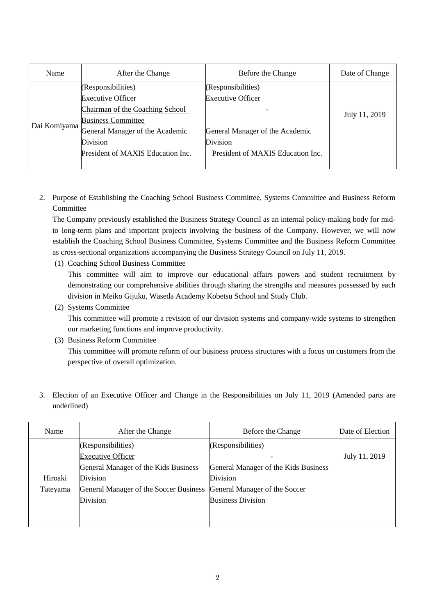| Name         | After the Change                                                                                                                                                                                   | Before the Change                                                                                                                  | Date of Change |
|--------------|----------------------------------------------------------------------------------------------------------------------------------------------------------------------------------------------------|------------------------------------------------------------------------------------------------------------------------------------|----------------|
| Dai Komiyama | (Responsibilities)<br><b>Executive Officer</b><br>Chairman of the Coaching School<br><b>Business Committee</b><br>General Manager of the Academic<br>Division<br>President of MAXIS Education Inc. | (Responsibilities)<br><b>Executive Officer</b><br>General Manager of the Academic<br>Division<br>President of MAXIS Education Inc. | July 11, 2019  |

2. Purpose of Establishing the Coaching School Business Committee, Systems Committee and Business Reform **Committee** 

The Company previously established the Business Strategy Council as an internal policy-making body for midto long-term plans and important projects involving the business of the Company. However, we will now establish the Coaching School Business Committee, Systems Committee and the Business Reform Committee as cross-sectional organizations accompanying the Business Strategy Council on July 11, 2019.

(1) Coaching School Business Committee

This committee will aim to improve our educational affairs powers and student recruitment by demonstrating our comprehensive abilities through sharing the strengths and measures possessed by each division in Meiko Gijuku, Waseda Academy Kobetsu School and Study Club.

(2) Systems Committee

This committee will promote a revision of our division systems and company-wide systems to strengthen our marketing functions and improve productivity.

(3) Business Reform Committee

This committee will promote reform of our business process structures with a focus on customers from the perspective of overall optimization.

3. Election of an Executive Officer and Change in the Responsibilities on July 11, 2019 (Amended parts are underlined)

| Name     | After the Change                       | Before the Change                    | Date of Election |
|----------|----------------------------------------|--------------------------------------|------------------|
|          | (Responsibilities)                     | (Responsibilities)                   |                  |
|          | <b>Executive Officer</b>               |                                      | July 11, 2019    |
|          | General Manager of the Kids Business   | General Manager of the Kids Business |                  |
| Hiroaki  | Division                               | <b>Division</b>                      |                  |
| Tateyama | General Manager of the Soccer Business | General Manager of the Soccer        |                  |
|          | Division                               | <b>Business Division</b>             |                  |
|          |                                        |                                      |                  |
|          |                                        |                                      |                  |